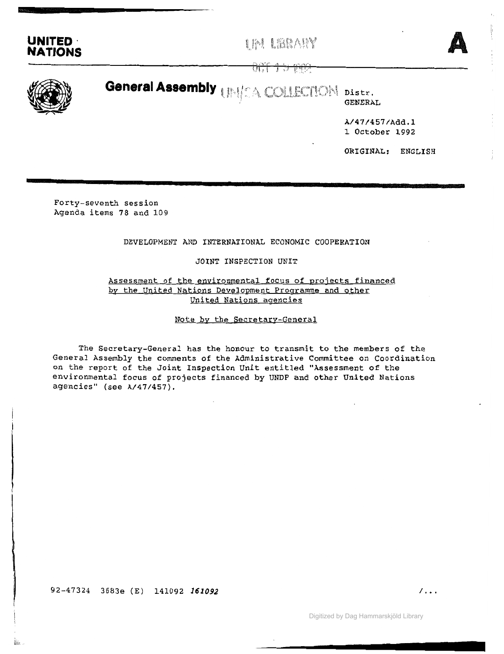



ਧਾਪ ਦੇ ਇਲਾਨ



**General Assembly**  $\text{Lip}_\text{LLA}$  COLLECTION Distr.

GENERAL

A/47/457/Add.l 1 October 1992

ORIGINAL: ENGLISH

Forty-seventh session Agenda items 78 and 109

## DEVELOPMENT AND INTERNATIONAL ECONOMIC COOPERATION

## JOINT INSPECTION UNIT

# Assessment of the environmental focus of projects financed by the United Nations Development Programme and other United Nations agencies

## Note by the Secretary-General

The Secretary-General has the honour to transmit to the members of the General Assembly the comments of the Administrative Committee on Coordination on the report of the Joint Inspection Unit entitled "Assessment of the environmental focus of projects financed by UNDP and other United Nations agencies" (see *A/47/457).*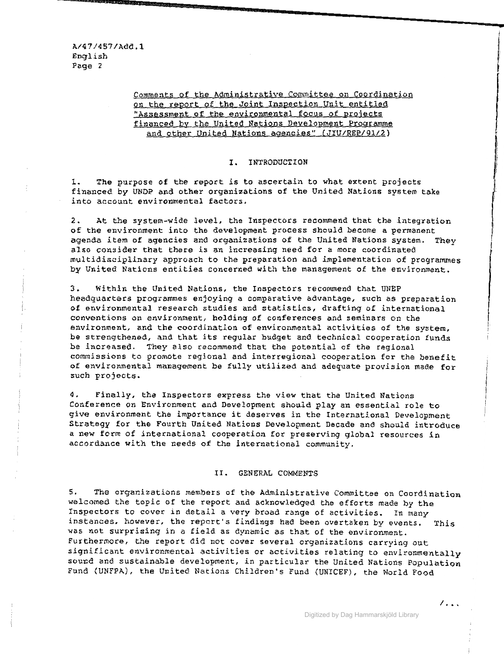Comments of the Administrative Committee on Coordination on the report of the Joint Inspection Unit entitled "Assessment of the environmental focus of projects financed by the United Nations Development Programme and other United Nations agencies" (JIU/REP/9l/2)

### **I.** INTRODUCTION

1. The purpose of the report is to ascertain to what extent projects financed by UNDP and other organizations of the United Nations system take into account environmental factors.

2. At the system-wide level, the Inspectors recommend that the integration of the environment into the development process should become a permanent agenda item of agencies and organizations of the United Nations system. They also consider that there is an increasing need for <sup>a</sup> more coordinated multidisciplinary approach to the preparation and implementation of programmes by United Nations entities concerned with the management of the environment.

3. Within the United Nations, the Inspectors recommend that UNEP headquarters programmes enjoying a comparative advantage, such as preparation of environmental research studies and statistics, drafting of international conventions on environment, holding of conferences and seminars on the environment, and the coordination of environmental activities of the system, be strengthened, and that *its* regular budget and technical cooperation funds be increased. They also recommend that the potential of the regional commissions to promote regional and interregional cooperation for the benefit of environmental management be fully utilized and adequate provision made for such projects.

4. Finally, the Inspectors express the view that the United Nations Conference on Environment and Development should play an essential role to give environment the importance it deserves in the International Development Strategy for the Fourth United Nations Development Decade and should introduce <sup>a</sup> new form of international cooperation for preserving global resources in accordance with the needs of the international community.

## 11. GENERAL COMMENTS

5. The organizations members of the Administrative Committee on Coordination welcomed the topic of the report and acknowledged the efforts made by the Inspectors to cover in detail <sup>a</sup> very broad range of activities. In many instances, however, the report's findings had been overtaken by events. This was not surprising in <sup>a</sup> field as dynamic as that of the environment. Furthermore, the report did not cover several organizations carrying out significant environmental activities or activities relating to environmentally sound and sustainable development, in particular the United Nations Population Fund (UNFPA), the United Nations Children's Fund (UNICEF). the World Food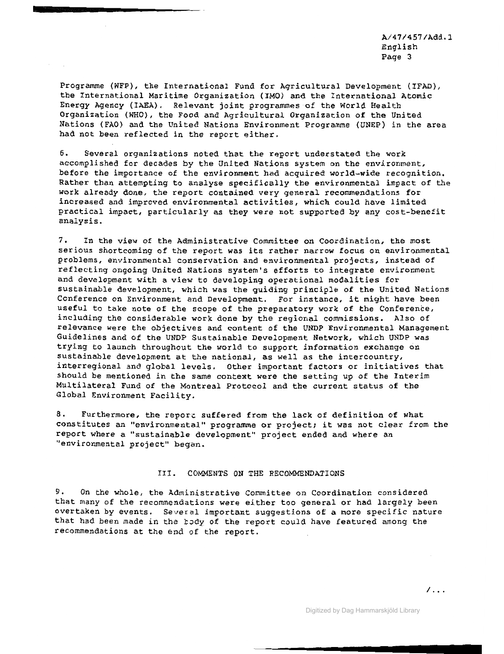A/47/457/Add.l English Page 3

Programme (WFP), the International Fund for Agricultural Development (IFAD), the International Maritime Organization (IMO) and the International Atomic Energy Agency (IAEA). Relevant joint programmes of the World Health Organization (WHO), the Food and Agricultural Organization of the United Nations (FAO) and the United Nations Environment Programme (UNEP) in the area had not been reflected in the report either.

6. Several organizations noted that the report understated the work accomplished for decades by the United Nations system on the environment, before the importance of the environment had acquired world-wide recognition. Rather than attempting to analyse specifically the environmental impact of the work already done, the report contained very general recommendations for increased and improved environmental activities, which could have limited practical impact, particularly as they were not supported by any cost-benefit analysis.

7. In the view of the Administrative Committee on Coordination, the most serious shortcoming of the report was its rather narrow focus on environmental problems, environmental conservation and environmental projects, instead of reflecting ongoing United Nations system's efforts to integrate environment and development with a view to developing operational modalities for sustainable development, which was the guiding principle of the United Nations Conference on Environment and Development. For instance, it might have been useful to take note of the scope of the preparatory work of the Conference, including the considerable work done by the regional commissions. Also of relevance were the objectives and content of the UNDP Environmental Management Guidelines and of the UNDP Sustainable Development Network, which UNDP was trying to launch throughout the world to support information exchange on sustainable development at the national, as well as the intercountry, interregional and global levels. Other important factors or initiatives that should be mentioned in the same context were the setting up of the Interim Multilateral Fund of the Montreal Protocol and the current status of the Global Environment Facility.

8. Furthermore, the reporc suffered from the lack of definition of what constitutes an "environmental" programme or project; it was not clear from the report where a "sustainable development" project ended and where an "environmental project" began.

### Ill. COMMENTS ON THE RECOMMENDATIONS

9. On the whole, the Administrative Committee on Coordination considered that many of the recommendations were either too general or had largely been overtaken by events. Several important suggestions of a more specific nature that had been made in the body of the report could have featured among the recommendations at the end of the report.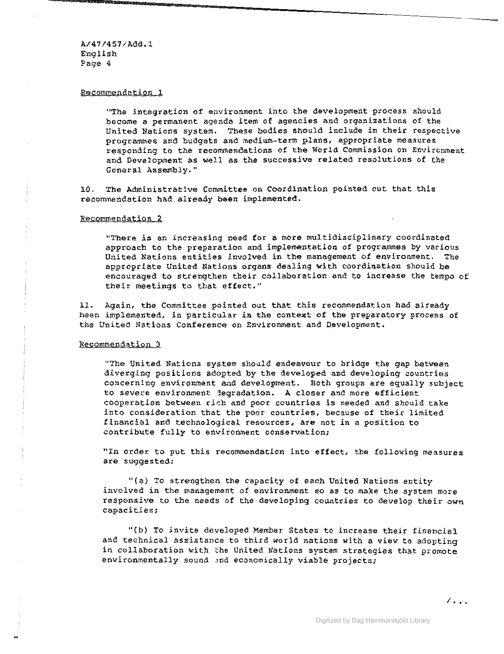A/47/451/Add.l English Page 4

## Recommendation 1

"The integration of environment into the development process should become a permanent agenda item of agencies and organizations of the United Nations system. These bodies should include *in* their respective programmes and budgets and medium-term plans, appropriate measures responding to the recommendations of the World Commission on Environment and Development as well as the successive related resolutions of the General Assembly."

10. The Administrative Committee on Coordination pointed out that this recommendation had already been implemented.

#### Recommendation 2

"There is an increasing need for <sup>a</sup> more multidisciplinary coordinated approach to the preparation and implementation of programmes by various<br>United Nations entities involved in the management of environment. The United Nations entities involved in the management of environment. appropriate United Nations organs dealing with coordination should be encouraged to strengthen their collaboration and to increase the tempo of their meetings to that effect."

11. Again, the Committee pointed out that this recommendation had already been implemented, in particular in the context of the preparatory process of the United Nations Conference on Environment and Qevelopment.

#### Recommendation 3

"The United Nations system should endeavour to bridge the gap between diverging positions adopted by the developed and developing countries concerning environment and development. Both groups are equally subject to severe environment jegradation. <sup>A</sup> closer and more efficient cooperation between rir.h and poor countries is needed and should take into consideration that the poor countries, because of their limited financial and technological resources. are not in a position to contribute fully to environment conservation;

"In order to put this recommendation into effect, the following measures are suggested:

"(a) To strengthen the capacity of each United Nations entity involved in the management of environment so as to make the system more responsive to the needs of the developing countries to develop their own capacities;

"(b) To invite developed Member States to increase their financial and technical assistance to third world nations with a view to adopting in collaboration with the United Nations system strategies that promote environmentally sound and economically viable projects;